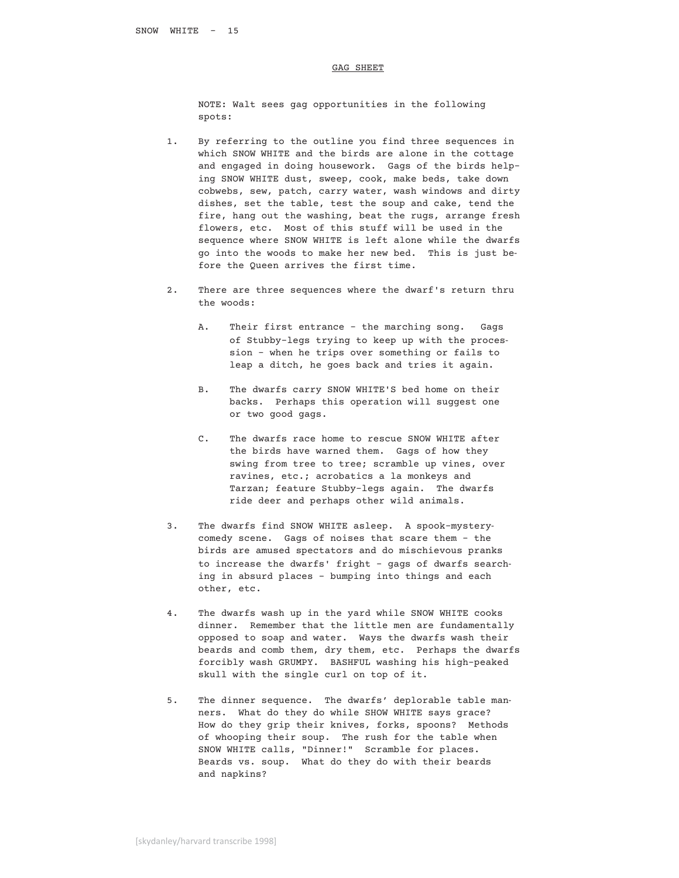## GAG SHEET

 NOTE: Walt sees gag opportunities in the following spots:

- 1. By referring to the outline you find three sequences in which SNOW WHITE and the birds are alone in the cottage and engaged in doing housework. Gags of the birds help ing SNOW WHITE dust, sweep, cook, make beds, take down cobwebs, sew, patch, carry water, wash windows and dirty dishes, set the table, test the soup and cake, tend the fire, hang out the washing, beat the rugs, arrange fresh flowers, etc. Most of this stuff will be used in the sequence where SNOW WHITE is left alone while the dwarfs go into the woods to make her new bed. This is just be fore the Queen arrives the first time.
- 2. There are three sequences where the dwarf's return thru the woods:
	- A. Their first entrance the marching song. Gags of Stubby-legs trying to keep up with the proces sion – when he trips over something or fails to leap a ditch, he goes back and tries it again.
	- B. The dwarfs carry SNOW WHITE'S bed home on their backs. Perhaps this operation will suggest one or two good gags.
	- C. The dwarfs race home to rescue SNOW WHITE after the birds have warned them. Gags of how they swing from tree to tree; scramble up vines, over ravines, etc.; acrobatics a la monkeys and Tarzan; feature Stubby-legs again. The dwarfs ride deer and perhaps other wild animals.
- 3. The dwarfs find SNOW WHITE asleep. A spook-mystery comedy scene. Gags of noises that scare them – the birds are amused spectators and do mischievous pranks to increase the dwarfs' fright – gags of dwarfs search ing in absurd places – bumping into things and each other, etc.
- 4. The dwarfs wash up in the yard while SNOW WHITE cooks dinner. Remember that the little men are fundamentally opposed to soap and water. Ways the dwarfs wash their beards and comb them, dry them, etc. Perhaps the dwarfs forcibly wash GRUMPY. BASHFUL washing his high-peaked skull with the single curl on top of it.
- 5. The dinner sequence. The dwarfs' deplorable table man ners. What do they do while SHOW WHITE says grace? How do they grip their knives, forks, spoons? Methods of whooping their soup. The rush for the table when SNOW WHITE calls, "Dinner!" Scramble for places. Beards vs. soup. What do they do with their beards and napkins?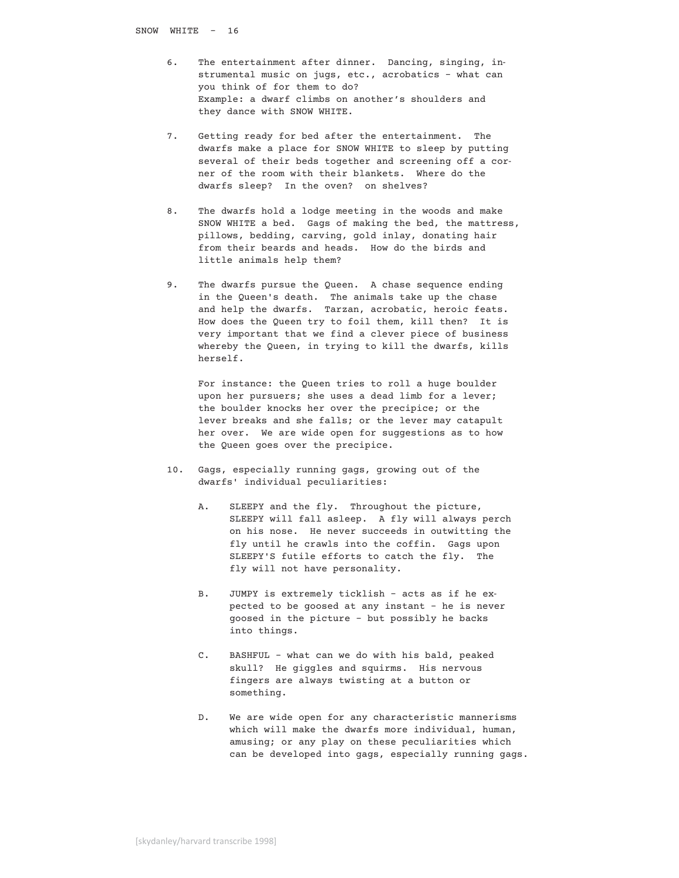- 6. The entertainment after dinner. Dancing, singing, in strumental music on jugs, etc., acrobatics – what can you think of for them to do? Example: a dwarf climbs on another's shoulders and they dance with SNOW WHITE.
- 7. Getting ready for bed after the entertainment. The dwarfs make a place for SNOW WHITE to sleep by putting several of their beds together and screening off a cor ner of the room with their blankets. Where do the dwarfs sleep? In the oven? on shelves?
- 8. The dwarfs hold a lodge meeting in the woods and make SNOW WHITE a bed. Gags of making the bed, the mattress, pillows, bedding, carving, gold inlay, donating hair from their beards and heads. How do the birds and little animals help them?
- 9. The dwarfs pursue the Queen. A chase sequence ending in the Queen's death. The animals take up the chase and help the dwarfs. Tarzan, acrobatic, heroic feats. How does the Queen try to foil them, kill then? It is very important that we find a clever piece of business whereby the Queen, in trying to kill the dwarfs, kills herself.

 For instance: the Queen tries to roll a huge boulder upon her pursuers; she uses a dead limb for a lever; the boulder knocks her over the precipice; or the lever breaks and she falls; or the lever may catapult her over. We are wide open for suggestions as to how the Queen goes over the precipice.

- 10. Gags, especially running gags, growing out of the dwarfs' individual peculiarities:
	- A. SLEEPY and the fly. Throughout the picture, SLEEPY will fall asleep. A fly will always perch on his nose. He never succeeds in outwitting the fly until he crawls into the coffin. Gags upon SLEEPY'S futile efforts to catch the fly. The fly will not have personality.
	- B. JUMPY is extremely ticklish acts as if he ex pected to be goosed at any instant – he is never goosed in the picture – but possibly he backs into things.
	- C. BASHFUL what can we do with his bald, peaked skull? He giggles and squirms. His nervous fingers are always twisting at a button or something.
	- D. We are wide open for any characteristic mannerisms which will make the dwarfs more individual, human, amusing; or any play on these peculiarities which can be developed into gags, especially running gags.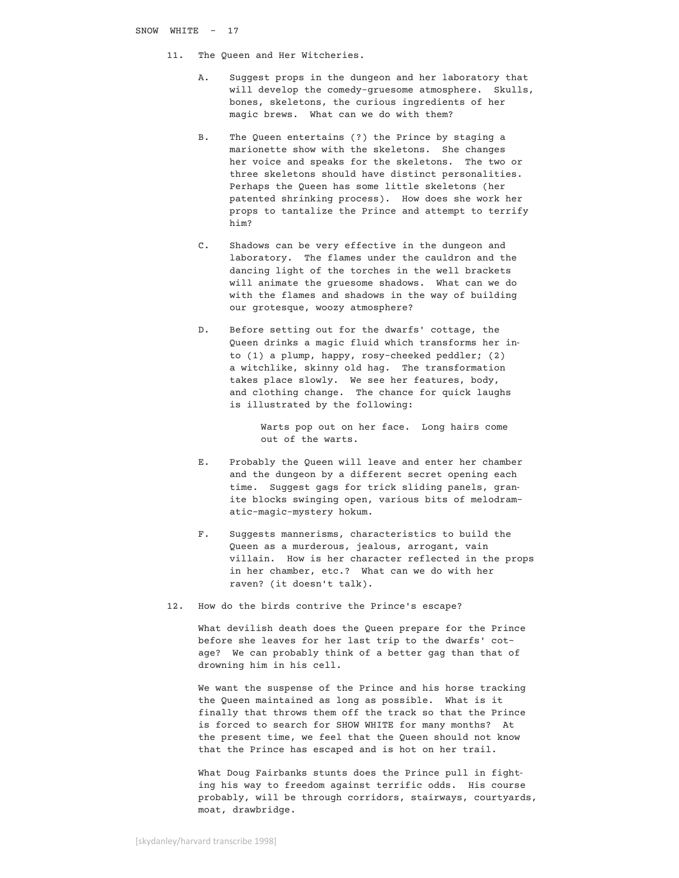- 11. The Queen and Her Witcheries.
	- A. Suggest props in the dungeon and her laboratory that will develop the comedy-gruesome atmosphere. Skulls, bones, skeletons, the curious ingredients of her magic brews. What can we do with them?
	- B. The Queen entertains (?) the Prince by staging a marionette show with the skeletons. She changes her voice and speaks for the skeletons. The two or three skeletons should have distinct personalities. Perhaps the Queen has some little skeletons (her patented shrinking process). How does she work her props to tantalize the Prince and attempt to terrify him?
	- C. Shadows can be very effective in the dungeon and laboratory. The flames under the cauldron and the dancing light of the torches in the well brackets will animate the gruesome shadows. What can we do with the flames and shadows in the way of building our grotesque, woozy atmosphere?
	- D. Before setting out for the dwarfs' cottage, the Queen drinks a magic fluid which transforms her in to (1) a plump, happy, rosy-cheeked peddler; (2) a witchlike, skinny old hag. The transformation takes place slowly. We see her features, body, and clothing change. The chance for quick laughs is illustrated by the following:

 Warts pop out on her face. Long hairs come out of the warts.

- E. Probably the Queen will leave and enter her chamber and the dungeon by a different secret opening each time. Suggest gags for trick sliding panels, gran ite blocks swinging open, various bits of melodram atic-magic-mystery hokum.
- F. Suggests mannerisms, characteristics to build the Queen as a murderous, jealous, arrogant, vain villain. How is her character reflected in the props in her chamber, etc.? What can we do with her raven? (it doesn't talk).
- 12. How do the birds contrive the Prince's escape?

 What devilish death does the Queen prepare for the Prince before she leaves for her last trip to the dwarfs' cot age? We can probably think of a better gag than that of drowning him in his cell.

 We want the suspense of the Prince and his horse tracking the Queen maintained as long as possible. What is it finally that throws them off the track so that the Prince is forced to search for SHOW WHITE for many months? At the present time, we feel that the Queen should not know that the Prince has escaped and is hot on her trail.

 What Doug Fairbanks stunts does the Prince pull in fight ing his way to freedom against terrific odds. His course probably, will be through corridors, stairways, courtyards, moat, drawbridge.